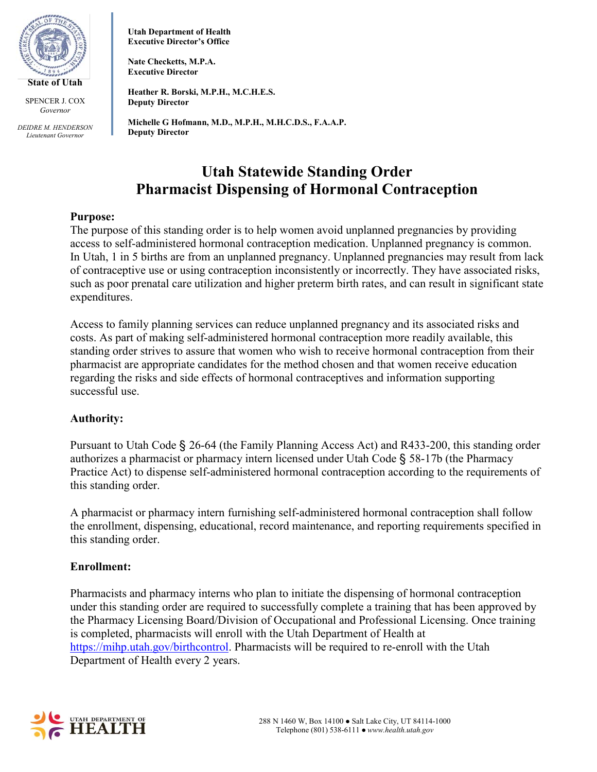

*DEIDRE M. HENDERSON Lieutenant Governor*

**Utah Department of Health Executive Director's Office**

**Nate Checketts, M.P.A. Executive Director**

**Heather R. Borski, M.P.H., M.C.H.E.S. Deputy Director**

**Michelle G Hofmann, M.D., M.P.H., M.H.C.D.S., F.A.A.P. Deputy Director**

# **Utah Statewide Standing Order Pharmacist Dispensing of Hormonal Contraception**

## **Purpose:**

The purpose of this standing order is to help women avoid unplanned pregnancies by providing access to self-administered hormonal contraception medication. Unplanned pregnancy is common. In Utah, 1 in 5 births are from an unplanned pregnancy. Unplanned pregnancies may result from lack of contraceptive use or using contraception inconsistently or incorrectly. They have associated risks, such as poor prenatal care utilization and higher preterm birth rates, and can result in significant state expenditures.

Access to family planning services can reduce unplanned pregnancy and its associated risks and costs. As part of making self-administered hormonal contraception more readily available, this standing order strives to assure that women who wish to receive hormonal contraception from their pharmacist are appropriate candidates for the method chosen and that women receive education regarding the risks and side effects of hormonal contraceptives and information supporting successful use.

## **Authority:**

Pursuant to Utah Code § 26-64 (the Family Planning Access Act) and R433-200, this standing order authorizes a pharmacist or pharmacy intern licensed under Utah Code § 58-17b (the Pharmacy Practice Act) to dispense self-administered hormonal contraception according to the requirements of this standing order.

A pharmacist or pharmacy intern furnishing self-administered hormonal contraception shall follow the enrollment, dispensing, educational, record maintenance, and reporting requirements specified in this standing order.

#### **Enrollment:**

Pharmacists and pharmacy interns who plan to initiate the dispensing of hormonal contraception under this standing order are required to successfully complete a training that has been approved by the Pharmacy Licensing Board/Division of Occupational and Professional Licensing. Once training is completed, pharmacists will enroll with the Utah Department of Health at [https://mihp.utah.gov/birthcontrol.](https://mihp.utah.gov/birthcontrol) Pharmacists will be required to re-enroll with the Utah Department of Health every 2 years.

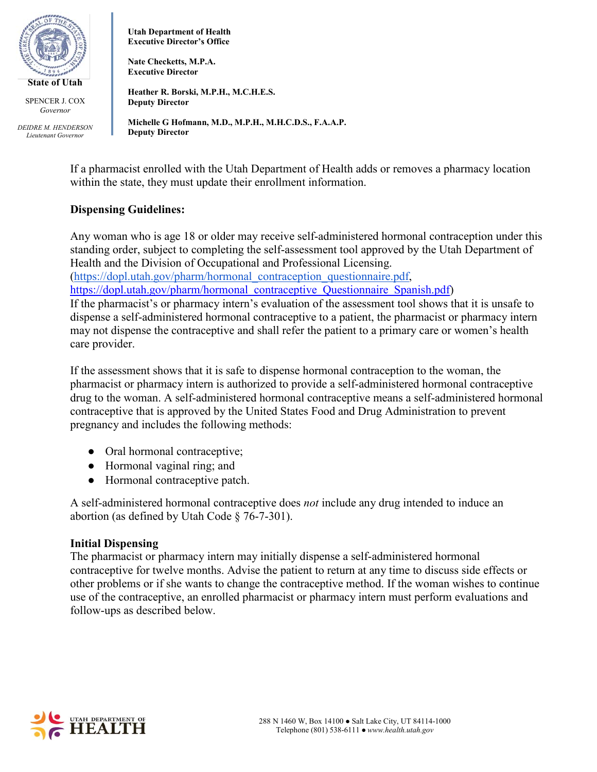

*DEIDRE M. HENDERSON Lieutenant Governor*

**Utah Department of Health Executive Director's Office**

**Nate Checketts, M.P.A. Executive Director**

**Heather R. Borski, M.P.H., M.C.H.E.S. Deputy Director**

**Michelle G Hofmann, M.D., M.P.H., M.H.C.D.S., F.A.A.P. Deputy Director**

If a pharmacist enrolled with the Utah Department of Health adds or removes a pharmacy location within the state, they must update their enrollment information.

## **Dispensing Guidelines:**

Any woman who is age 18 or older may receive self-administered hormonal contraception under this standing order, subject to completing the self-assessment tool approved by the Utah Department of Health and the Division of Occupational and Professional Licensing.

[\(https://dopl.utah.gov/pharm/hormonal\\_contraception\\_questionnaire.pdf,](https://dopl.utah.gov/pharm/hormonal_contraception_questionnaire.pdf)

[https://dopl.utah.gov/pharm/hormonal\\_contraceptive\\_Questionnaire\\_Spanish.pdf\)](https://dopl.utah.gov/pharm/hormonal_contraceptive_Questionnaire_Spanish.pdf)

If the pharmacist's or pharmacy intern's evaluation of the assessment tool shows that it is unsafe to dispense a self-administered hormonal contraceptive to a patient, the pharmacist or pharmacy intern may not dispense the contraceptive and shall refer the patient to a primary care or women's health care provider.

If the assessment shows that it is safe to dispense hormonal contraception to the woman, the pharmacist or pharmacy intern is authorized to provide a self-administered hormonal contraceptive drug to the woman. A self-administered hormonal contraceptive means a self-administered hormonal contraceptive that is approved by the United States Food and Drug Administration to prevent pregnancy and includes the following methods:

- Oral hormonal contraceptive;
- Hormonal vaginal ring; and
- Hormonal contraceptive patch.

A self-administered hormonal contraceptive does *not* include any drug intended to induce an abortion (as defined by Utah Code § 76-7-301).

## **Initial Dispensing**

The pharmacist or pharmacy intern may initially dispense a self-administered hormonal contraceptive for twelve months. Advise the patient to return at any time to discuss side effects or other problems or if she wants to change the contraceptive method. If the woman wishes to continue use of the contraceptive, an enrolled pharmacist or pharmacy intern must perform evaluations and follow-ups as described below.

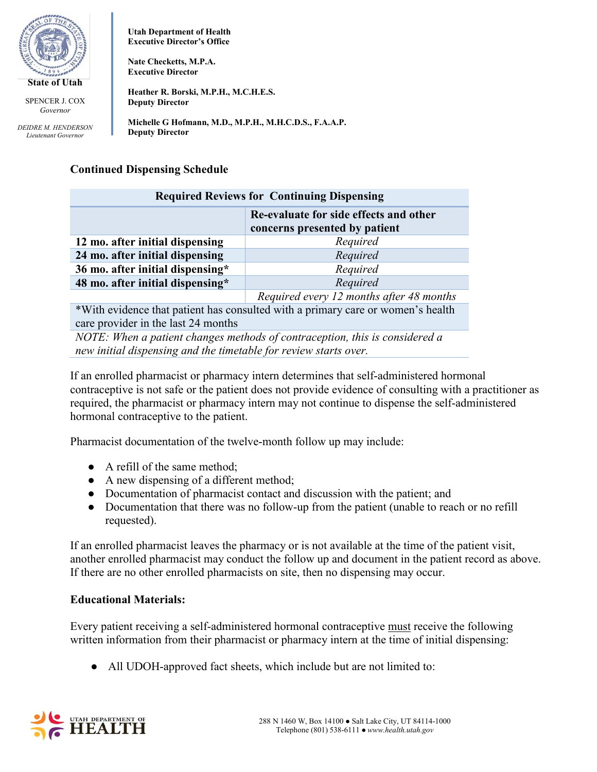

*DEIDRE M. HENDERSON Lieutenant Governor*

**Utah Department of Health Executive Director's Office**

**Nate Checketts, M.P.A. Executive Director**

**Heather R. Borski, M.P.H., M.C.H.E.S. Deputy Director**

**Michelle G Hofmann, M.D., M.P.H., M.H.C.D.S., F.A.A.P. Deputy Director**

## **Continued Dispensing Schedule**

| <b>Required Reviews for Continuing Dispensing</b>                               |                                                                         |
|---------------------------------------------------------------------------------|-------------------------------------------------------------------------|
|                                                                                 | Re-evaluate for side effects and other<br>concerns presented by patient |
| 12 mo. after initial dispensing                                                 | Required                                                                |
| 24 mo. after initial dispensing                                                 | Required                                                                |
| 36 mo. after initial dispensing*                                                | Required                                                                |
| 48 mo. after initial dispensing*                                                | Required                                                                |
|                                                                                 | Required every 12 months after 48 months                                |
| *With evidence that patient has consulted with a primary care or women's health |                                                                         |

care provider in the last 24 months

*NOTE: When a patient changes methods of contraception, this is considered a new initial dispensing and the timetable for review starts over.*

If an enrolled pharmacist or pharmacy intern determines that self-administered hormonal contraceptive is not safe or the patient does not provide evidence of consulting with a practitioner as required, the pharmacist or pharmacy intern may not continue to dispense the self-administered hormonal contraceptive to the patient.

Pharmacist documentation of the twelve-month follow up may include:

- A refill of the same method;
- A new dispensing of a different method;
- Documentation of pharmacist contact and discussion with the patient; and
- Documentation that there was no follow-up from the patient (unable to reach or no refill requested).

If an enrolled pharmacist leaves the pharmacy or is not available at the time of the patient visit, another enrolled pharmacist may conduct the follow up and document in the patient record as above. If there are no other enrolled pharmacists on site, then no dispensing may occur.

## **Educational Materials:**

Every patient receiving a self-administered hormonal contraceptive must receive the following written information from their pharmacist or pharmacy intern at the time of initial dispensing:

• All UDOH-approved fact sheets, which include but are not limited to:

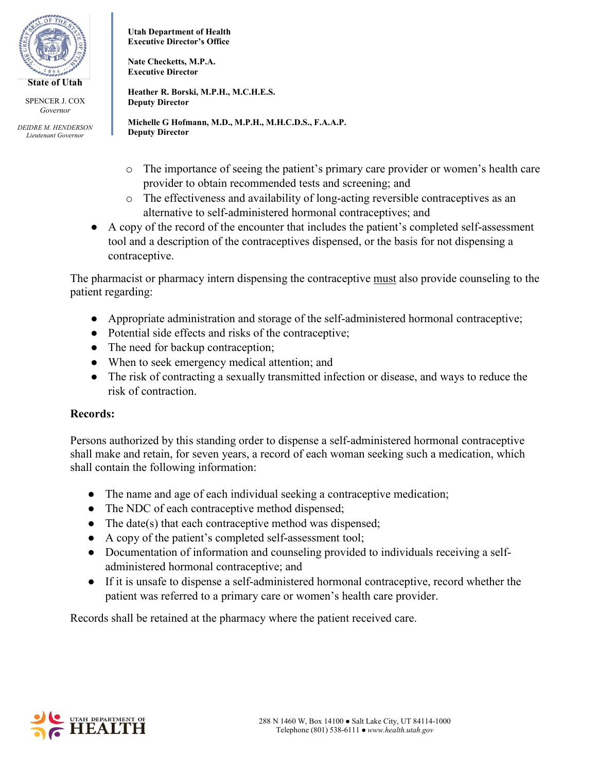

*DEIDRE M. HENDERSON Lieutenant Governor*

**Utah Department of Health Executive Director's Office**

**Nate Checketts, M.P.A. Executive Director**

**Heather R. Borski, M.P.H., M.C.H.E.S. Deputy Director**

**Michelle G Hofmann, M.D., M.P.H., M.H.C.D.S., F.A.A.P. Deputy Director**

- o The importance of seeing the patient's primary care provider or women's health care provider to obtain recommended tests and screening; and
- o The effectiveness and availability of long-acting reversible contraceptives as an alternative to self-administered hormonal contraceptives; and
- A copy of the record of the encounter that includes the patient's completed self-assessment tool and a description of the contraceptives dispensed, or the basis for not dispensing a contraceptive.

The pharmacist or pharmacy intern dispensing the contraceptive must also provide counseling to the patient regarding:

- Appropriate administration and storage of the self-administered hormonal contraceptive;
- Potential side effects and risks of the contraceptive;
- The need for backup contraception;
- When to seek emergency medical attention; and
- The risk of contracting a sexually transmitted infection or disease, and ways to reduce the risk of contraction.

## **Records:**

Persons authorized by this standing order to dispense a self-administered hormonal contraceptive shall make and retain, for seven years, a record of each woman seeking such a medication, which shall contain the following information:

- The name and age of each individual seeking a contraceptive medication;
- The NDC of each contraceptive method dispensed;
- The date(s) that each contraceptive method was dispensed;
- A copy of the patient's completed self-assessment tool;
- Documentation of information and counseling provided to individuals receiving a selfadministered hormonal contraceptive; and
- If it is unsafe to dispense a self-administered hormonal contraceptive, record whether the patient was referred to a primary care or women's health care provider.

Records shall be retained at the pharmacy where the patient received care.